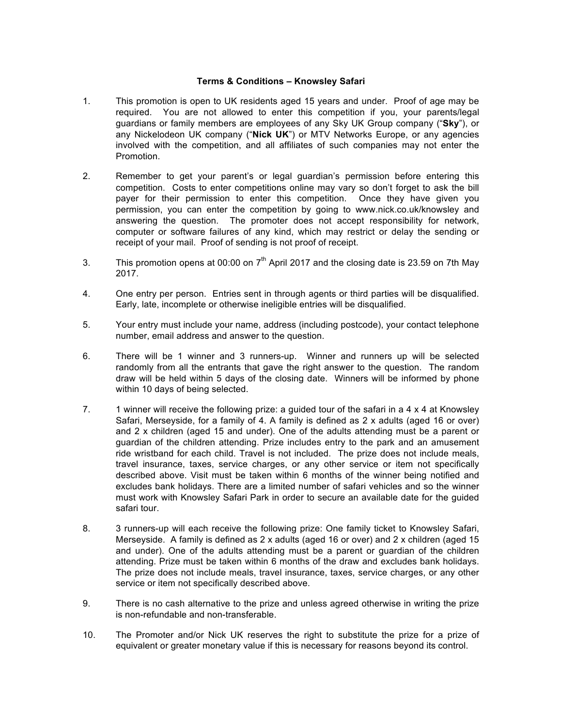## **Terms & Conditions – Knowsley Safari**

- 1. This promotion is open to UK residents aged 15 years and under. Proof of age may be required. You are not allowed to enter this competition if you, your parents/legal guardians or family members are employees of any Sky UK Group company ("**Sky**"), or any Nickelodeon UK company ("**Nick UK**") or MTV Networks Europe, or any agencies involved with the competition, and all affiliates of such companies may not enter the Promotion.
- 2. Remember to get your parent's or legal guardian's permission before entering this competition. Costs to enter competitions online may vary so don't forget to ask the bill payer for their permission to enter this competition. Once they have given you permission, you can enter the competition by going to www.nick.co.uk/knowsley and answering the question. The promoter does not accept responsibility for network, computer or software failures of any kind, which may restrict or delay the sending or receipt of your mail. Proof of sending is not proof of receipt.
- 3. This promotion opens at 00:00 on  $7<sup>th</sup>$  April 2017 and the closing date is 23.59 on 7th May 2017.
- 4. One entry per person. Entries sent in through agents or third parties will be disqualified. Early, late, incomplete or otherwise ineligible entries will be disqualified.
- 5. Your entry must include your name, address (including postcode), your contact telephone number, email address and answer to the question.
- 6. There will be 1 winner and 3 runners-up. Winner and runners up will be selected randomly from all the entrants that gave the right answer to the question. The random draw will be held within 5 days of the closing date. Winners will be informed by phone within 10 days of being selected.
- 7. 1 winner will receive the following prize: a guided tour of the safari in a  $4 \times 4$  at Knowsley Safari, Merseyside, for a family of 4. A family is defined as 2 x adults (aged 16 or over) and 2 x children (aged 15 and under). One of the adults attending must be a parent or guardian of the children attending. Prize includes entry to the park and an amusement ride wristband for each child. Travel is not included. The prize does not include meals, travel insurance, taxes, service charges, or any other service or item not specifically described above. Visit must be taken within 6 months of the winner being notified and excludes bank holidays. There are a limited number of safari vehicles and so the winner must work with Knowsley Safari Park in order to secure an available date for the guided safari tour.
- 8. 3 runners-up will each receive the following prize: One family ticket to Knowsley Safari, Merseyside. A family is defined as 2 x adults (aged 16 or over) and 2 x children (aged 15 and under). One of the adults attending must be a parent or guardian of the children attending. Prize must be taken within 6 months of the draw and excludes bank holidays. The prize does not include meals, travel insurance, taxes, service charges, or any other service or item not specifically described above.
- 9. There is no cash alternative to the prize and unless agreed otherwise in writing the prize is non-refundable and non-transferable.
- 10. The Promoter and/or Nick UK reserves the right to substitute the prize for a prize of equivalent or greater monetary value if this is necessary for reasons beyond its control.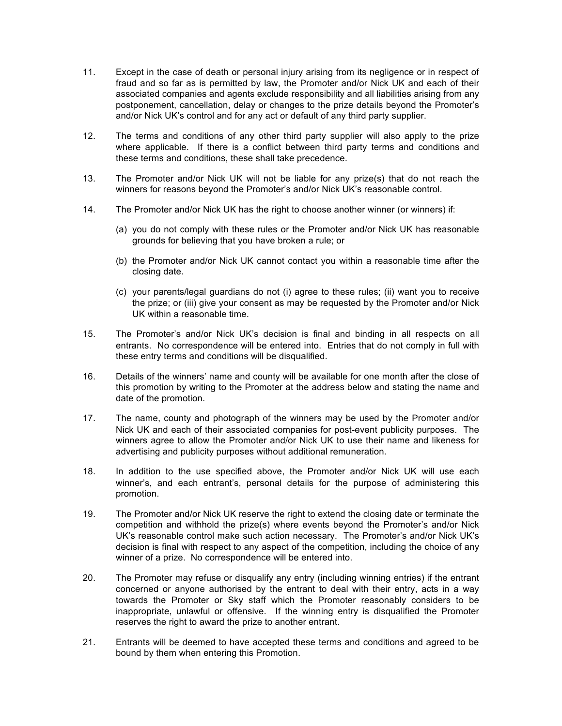- 11. Except in the case of death or personal injury arising from its negligence or in respect of fraud and so far as is permitted by law, the Promoter and/or Nick UK and each of their associated companies and agents exclude responsibility and all liabilities arising from any postponement, cancellation, delay or changes to the prize details beyond the Promoter's and/or Nick UK's control and for any act or default of any third party supplier.
- 12. The terms and conditions of any other third party supplier will also apply to the prize where applicable. If there is a conflict between third party terms and conditions and these terms and conditions, these shall take precedence.
- 13. The Promoter and/or Nick UK will not be liable for any prize(s) that do not reach the winners for reasons beyond the Promoter's and/or Nick UK's reasonable control.
- 14. The Promoter and/or Nick UK has the right to choose another winner (or winners) if:
	- (a) you do not comply with these rules or the Promoter and/or Nick UK has reasonable grounds for believing that you have broken a rule; or
	- (b) the Promoter and/or Nick UK cannot contact you within a reasonable time after the closing date.
	- (c) your parents/legal guardians do not (i) agree to these rules; (ii) want you to receive the prize; or (iii) give your consent as may be requested by the Promoter and/or Nick UK within a reasonable time.
- 15. The Promoter's and/or Nick UK's decision is final and binding in all respects on all entrants. No correspondence will be entered into. Entries that do not comply in full with these entry terms and conditions will be disqualified.
- 16. Details of the winners' name and county will be available for one month after the close of this promotion by writing to the Promoter at the address below and stating the name and date of the promotion.
- 17. The name, county and photograph of the winners may be used by the Promoter and/or Nick UK and each of their associated companies for post-event publicity purposes. The winners agree to allow the Promoter and/or Nick UK to use their name and likeness for advertising and publicity purposes without additional remuneration.
- 18. In addition to the use specified above, the Promoter and/or Nick UK will use each winner's, and each entrant's, personal details for the purpose of administering this promotion.
- 19. The Promoter and/or Nick UK reserve the right to extend the closing date or terminate the competition and withhold the prize(s) where events beyond the Promoter's and/or Nick UK's reasonable control make such action necessary. The Promoter's and/or Nick UK's decision is final with respect to any aspect of the competition, including the choice of any winner of a prize. No correspondence will be entered into.
- 20. The Promoter may refuse or disqualify any entry (including winning entries) if the entrant concerned or anyone authorised by the entrant to deal with their entry, acts in a way towards the Promoter or Sky staff which the Promoter reasonably considers to be inappropriate, unlawful or offensive. If the winning entry is disqualified the Promoter reserves the right to award the prize to another entrant.
- 21. Entrants will be deemed to have accepted these terms and conditions and agreed to be bound by them when entering this Promotion.